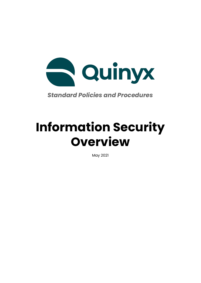

*Standard Policies and Procedures*

# **Information Security Overview**

May 2021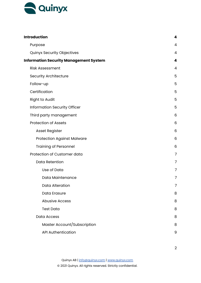

| <b>Introduction</b>                           | 4              |
|-----------------------------------------------|----------------|
| Purpose                                       | 4              |
| <b>Quinyx Security Objectives</b>             | 4              |
| <b>Information Security Management System</b> | 4              |
| <b>Risk Assessment</b>                        | $\overline{4}$ |
| <b>Security Architecture</b>                  | 5              |
| Follow-up                                     | 5              |
| Certification                                 | 5              |
| <b>Right to Audit</b>                         | 5              |
| Information Security Officer                  | 5              |
| Third party management                        | 6              |
| <b>Protection of Assets</b>                   | 6              |
| <b>Asset Register</b>                         | 6              |
| <b>Protection Against Malware</b>             | 6              |
| <b>Training of Personnel</b>                  | 6              |
| Protection of Customer data                   | 7              |
| <b>Data Retention</b>                         | 7              |
| Use of Data                                   | 7              |
| Data Maintenance                              | 7              |
| <b>Data Alteration</b>                        | 7              |
| Data Erasure                                  | 8              |
| <b>Abusive Access</b>                         | 8              |
| <b>Test Data</b>                              | 8              |
| <b>Data Access</b>                            | 8              |
| Master Account/Subscription                   | 8              |
| <b>API Authentication</b>                     | 9              |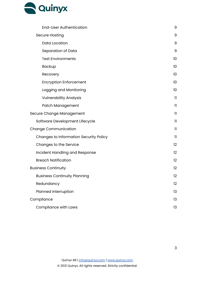

| <b>End-User Authentication</b>                | 9            |
|-----------------------------------------------|--------------|
| <b>Secure Hosting</b>                         | 9            |
| Data Location                                 | 9            |
| Separation of Data                            | 9            |
| <b>Test Environments</b>                      | 10           |
| <b>Backup</b>                                 | 10           |
| Recovery                                      | 10           |
| <b>Encryption Enforcement</b>                 | 10           |
| Logging and Monitoring                        | 10           |
| <b>Vulnerability Analysis</b>                 | $\mathbf{1}$ |
| <b>Patch Management</b>                       | $\mathbf{1}$ |
| Secure Change Management                      | $\mathbf{1}$ |
| Software Development Lifecycle                | $\mathbf{1}$ |
| <b>Change Communication</b>                   | $\mathbf{1}$ |
| <b>Changes to Information Security Policy</b> | $\mathbf{1}$ |
| Changes to the Service                        | 12           |
| Incident Handling and Response                | 12           |
| <b>Breach Notification</b>                    | 12           |
| <b>Business Continuity</b>                    | 12           |
| <b>Business Continuity Planning</b>           | 12           |
| Redundancy                                    | 12           |
| Planned Interruption                          | 13           |
| Compliance                                    | 13           |
| Compliance with Laws                          | 13           |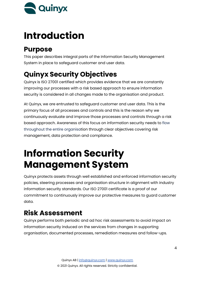

# <span id="page-3-0"></span>**Introduction**

## <span id="page-3-1"></span>**Purpose**

This paper describes integral parts of the Information Security Management System in place to safeguard customer and user data.

# <span id="page-3-2"></span>**Quinyx Security Objectives**

Quinyx is ISO 27001 certified which provides evidence that we are constantly improving our processes with a risk based approach to ensure information security is considered in all changes made to the organisation and product.

At Quinyx, we are entrusted to safeguard customer and user data. This is the primary focus of all processes and controls and this is the reason why we continuously evaluate and improve those processes and controls through a risk based approach. Awareness of this focus on information security needs to flow throughout the entire organisation through clear objectives covering risk management, data protection and compliance.

# <span id="page-3-3"></span>**Information Security Management System**

Quinyx protects assets through well established and enforced information security policies, steering processes and organisation structure in alignment with industry information security standards. Our ISO 27001 certificate is a proof of our commitment to continuously improve our protective measures to guard customer data.

# <span id="page-3-4"></span>**Risk Assessment**

Quinyx performs both periodic and ad hoc risk assessments to avoid impact on information security induced on the services from changes in supporting organisation, documented processes, remediation measures and follow-ups.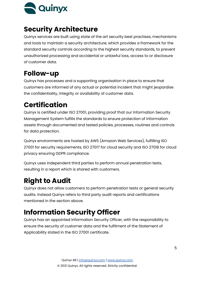

# <span id="page-4-0"></span>**Security Architecture**

Quinyx services are built using state of the art security best practises, mechanisms and tools to maintain a security architecture, which provides a framework for the standard security controls according to the highest security standards, to prevent unauthorized processing and accidental or unlawful loss, access to or disclosure of customer data.

# <span id="page-4-1"></span>**Follow-up**

Quinyx has processes and a supporting organisation in place to ensure that customers are informed of any actual or potential incident that might jeopardise the confidentiality, integrity or availability of customer data.

# <span id="page-4-2"></span>**Certification**

Quinyx is certified under ISO 27001, providing proof that our Information Security Management System fulfills the standards to ensure protection of information assets through documented and tested policies, processes, routines and controls for data protection.

Quinyx environments are hosted by AWS (Amazon Web Services), fulfilling ISO 27001 for security requirements, ISO 27017 for cloud security and ISO 27018 for cloud privacy ensuring GDPR compliance.

Quinyx uses independent third parties to perform annual penetration tests, resulting in a report which is shared with customers.

# <span id="page-4-3"></span>**Right to Audit**

Quinyx does not allow customers to perform penetration tests or general security audits. Instead Quinyx refers to third party audit reports and certifications mentioned in the section above.

# <span id="page-4-4"></span>**Information Security Officer**

Quinyx has an appointed Information Security Officer, with the responsibility to ensure the security of customer data and the fulfilment of the Statement of Applicability stated in the ISO 27001 certificate.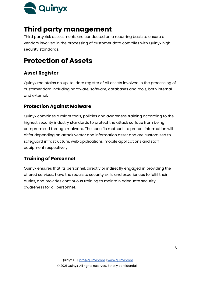

## <span id="page-5-0"></span>**Third party management**

Third party risk assessments are conducted on a recurring basis to ensure all vendors involved in the processing of customer data complies with Quinyx high security standards.

# <span id="page-5-1"></span>**Protection of Assets**

### <span id="page-5-2"></span>**Asset Register**

Quinyx maintains an up-to-date register of all assets involved in the processing of customer data including hardware, software, databases and tools, both internal and external.

### <span id="page-5-3"></span>**Protection Against Malware**

Quinyx combines a mix of tools, policies and awareness training according to the highest security industry standards to protect the attack surface from being compromised through malware. The specific methods to protect information will differ depending on attack vector and information asset and are customised to safeguard infrastructure, web applications, mobile applications and staff equipment respectively.

### <span id="page-5-4"></span>**Training of Personnel**

Quinyx ensures that its personnel, directly or indirectly engaged in providing the offered services, have the requisite security skills and experiences to fulfil their duties, and provides continuous training to maintain adequate security awareness for all personnel.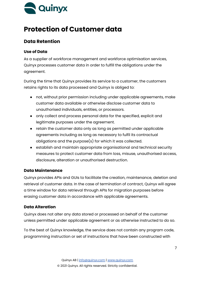

## <span id="page-6-0"></span>**Protection of Customer data**

### <span id="page-6-1"></span>**Data Retention**

#### <span id="page-6-2"></span>**Use of Data**

As a supplier of workforce management and workforce optimisation services, Quinyx processes customer data in order to fulfill the obligations under the agreement.

During the time that Quinyx provides its service to a customer, the customers retains rights to its data processed and Quinyx is obliged to:

- not, without prior permission including under applicable agreements, make customer data available or otherwise disclose customer data to unauthorised individuals, entities, or processors.
- only collect and process personal data for the specified, explicit and legitimate purposes under the agreement.
- retain the customer data only as long as permitted under applicable agreements including as long as necessary to fulfil its contractual obligations and the purpose(s) for which it was collected.
- establish and maintain appropriate organisational and technical security measures to protect customer data from loss, misuse, unauthorised access, disclosure, alteration or unauthorised destruction.

#### <span id="page-6-3"></span>**Data Maintenance**

Quinyx provides APIs and GUIs to facilitate the creation, maintenance, deletion and retrieval of customer data. In the case of termination of contract, Quinyx will agree a time window for data retrieval through APIs for migration purposes before erasing customer data in accordance with applicable agreements.

#### <span id="page-6-4"></span>**Data Alteration**

Quinyx does not alter any data stored or processed on behalf of the customer unless permitted under applicable agreement or as otherwise instructed to do so.

To the best of Quinyx knowledge, the service does not contain any program code, programming instruction or set of instructions that have been constructed with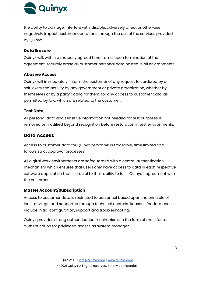

the ability to damage, interfere with, disable, adversely affect or otherwise negatively impact customer operations through the use of the services provided by Quinyx.

#### <span id="page-7-0"></span>**Data Erasure**

Quinyx will, within a mutually agreed time frame, upon termination of the agreement, securely erase all customer personal data hosted in all environments.

#### <span id="page-7-1"></span>**Abusive Access**

Quinyx will immediately inform the customer of any request for, ordered by or self-executed activity by any government or private organization, whether by themselves or by a party acting for them, for any access to customer data, as permitted by law, which are related to the customer.

#### <span id="page-7-2"></span>**Test Data**

All personal data and sensitive information not needed for test purposes is removed or modified beyond recognition before restoration in test environments.

#### <span id="page-7-3"></span>**Data Access**

Access to customer data for Quinyx personnel is traceable, time limited and follows strict approval processes.

All digital work environments are safeguarded with a central authentication mechanism which ensures that users only have access to data in each respective software application that is crucial to their ability to fulfill Quinyx's agreement with the customer.

#### <span id="page-7-4"></span>**Master Account/Subscription**

Access to customer data is restricted to personnel based upon the principle of least privilege and supported through technical controls. Reasons for data access include initial configuration, support and troubleshooting.

Quinyx provides strong authentication mechanisms in the form of multi factor authentication for privileged access as system manager.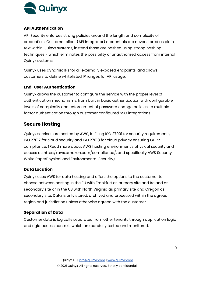

#### <span id="page-8-0"></span>**API Authentication**

API Security enforces strong policies around the length and complexity of credentials. Customer client (API integrator) credentials are never stored as plain text within Quinyx systems, instead those are hashed using strong hashing techniques - which eliminates the possibility of unauthorized access from internal Quinyx systems.

Quinyx uses dynamic IPs for all externally exposed endpoints, and allows customers to define whitelisted IP ranges for API usage.

#### <span id="page-8-1"></span>**End-User Authentication**

Quinyx allows the customer to configure the service with the proper level of authentication mechanisms, from built in basic authentication with configurable levels of complexity and enforcement of password change policies, to multiple factor authentication through customer configured SSO integrations.

### <span id="page-8-2"></span>**Secure Hosting**

Quinyx services are hosted by AWS, fulfilling ISO 27001 for security requirements, ISO 27017 for cloud security and ISO 27018 for cloud privacy ensuring GDPR compliance. (Read more about AWS hosting environment's physical security and access at: https://aws.amazon.com/compliance/, and specifically AWS Security White PaperPhysical and Environmental Security).

#### <span id="page-8-3"></span>**Data Location**

Quinyx uses AWS for data hosting and offers the options to the customer to choose between hosting in the EU with Frankfurt as primary site and Ireland as secondary site or in the US with North Virginia as primary site and Oregon as secondary site. Data is only stored, archived and processed within the agreed region and jurisdiction unless otherwise agreed with the customer.

#### <span id="page-8-4"></span>**Separation of Data**

Customer data is logically separated from other tenants through application logic and rigid access controls which are carefully tested and monitored.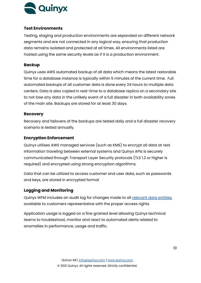

#### <span id="page-9-0"></span>**Test Environments**

Testing, staging and production environments are separated on different network segments and are not connected in any logical way, ensuring that production data remains isolated and protected at all times. All environments listed are hosted using the same security levels as if it is a production environment.

#### <span id="page-9-1"></span>**Backup**

Quinyx uses AWS automated backup of all data which means the latest restorable time for a database instance is typically within 5 minutes of the current time. Full automated backups of all customer data is done every 24 hours to multiple data centers. Data is also copied in real-time to a database replica on a secondary site to not lose any data in the unlikely event of a full disaster in both availability zones of the main site. Backups are stored for at least 30 days.

#### <span id="page-9-2"></span>**Recovery**

Recovery and failovers of the backups are tested daily and a full disaster recovery scenario is tested annually.

#### <span id="page-9-3"></span>**Encryption Enforcement**

Quinyx utilises AWS managed services (such as KMS) to encrypt all data at rest. Information traveling between external systems and Quinyx APIs is securely communicated through Transport Layer Security protocols (TLS 1.2 or higher is required) and encrypted using strong encryption algorithms.

Data that can be utilized to access customer and user data, such as passwords and keys, are stored in encrypted format

#### <span id="page-9-4"></span>**Logging and Monitoring**

Quinyx WFM includes an audit log for changes made to all [relevant](https://quinyx.helpdocs.io/l/en/article/21dy8yvpf9-audit-logs) data entities, available to customers representative with the proper access rights.

Application usage is logged on a fine grained level allowing Quinyx technical teams to troubleshoot, monitor and react to automated alerts related to anomalies in performance, usage and traffic.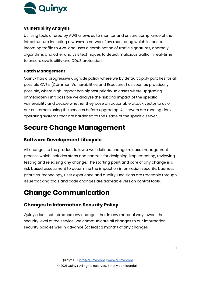

#### <span id="page-10-0"></span>**Vulnerability Analysis**

Utilising tools offered by AWS allows us to monitor and ensure compliance of the infrastructure including always-on network flow monitoring which inspects incoming traffic to AWS and uses a combination of traffic signatures, anomaly algorithms and other analysis techniques to detect malicious traffic in real-time to ensure availability and DDoS protection.

#### <span id="page-10-1"></span>**Patch Management**

Quinyx has a progressive upgrade policy where we by default apply patches for all possible CVE's (Common Vulnerabilities and Exposures) as soon as practically possible, where high impact has highest priority. In cases where upgrading immediately isn't possible we analyze the risk and impact of the specific vulnerability and decide whether they pose an actionable attack vector to us or our customers using the services before upgrading. All servers are running Linux operating systems that are hardened to the usage of the specific server.

# <span id="page-10-2"></span>**Secure Change Management**

### <span id="page-10-3"></span>**Software Development Lifecycle**

All changes to the product follow a well defined change release management process which includes steps and controls for designing, implementing, reviewing, testing and releasing any change. The starting point and core of any change is a risk based assessment to determine the impact on information security, business priorities, technology, user experience and quality. Decisions are traceable through issue tracking tools and code changes are traceable version control tools.

# <span id="page-10-4"></span>**Change Communication**

### <span id="page-10-5"></span>**Changes to Information Security Policy**

Quinyx does not introduce any changes that in any material way lowers the security level of the service. We communicate all changes to our information security policies well in advance (at least 2 month) of any changes.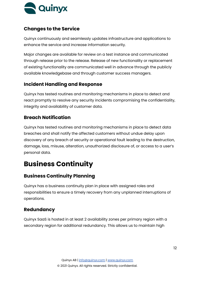

### <span id="page-11-0"></span>**Changes to the Service**

Quinyx continuously and seamlessly updates infrastructure and applications to enhance the service and increase information security.

Major changes are available for review on a test instance and communicated through release prior to the release. Release of new functionality or replacement of existing functionality are communicated well in advance through the publicly available knowledgebase and through customer success managers.

### <span id="page-11-1"></span>**Incident Handling and Response**

Quinyx has tested routines and monitoring mechanisms in place to detect and react promptly to resolve any security incidents compromising the confidentiality, integrity and availability of customer data.

### <span id="page-11-2"></span>**Breach Notification**

Quinyx has tested routines and monitoring mechanisms in place to detect data breaches and shall notify the affected customers without undue delay upon discovery of any breach of security or operational fault leading to the destruction, damage, loss, misuse, alteration, unauthorized disclosure of, or access to a user's personal data.

# <span id="page-11-3"></span>**Business Continuity**

### <span id="page-11-4"></span>**Business Continuity Planning**

Quinyx has a business continuity plan in place with assigned roles and responsibilities to ensure a timely recovery from any unplanned interruptions of operations.

### <span id="page-11-5"></span>**Redundancy**

Quinyx SaaS is hosted in at least 2 availability zones per primary region with a secondary region for additional redundancy. This allows us to maintain high